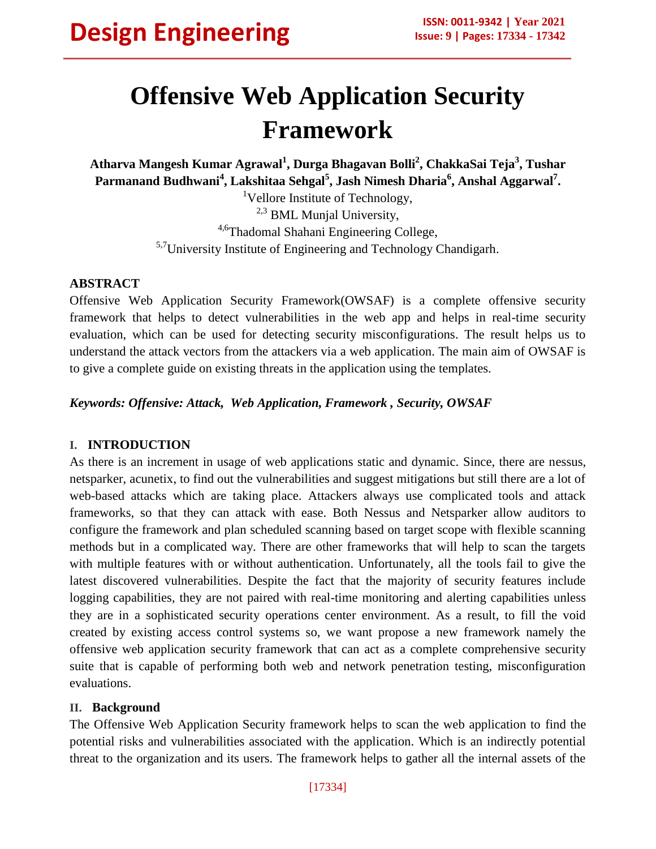# **Offensive Web Application Security Framework**

**Atharva Mangesh Kumar Agrawal<sup>1</sup> , Durga Bhagavan Bolli<sup>2</sup> , ChakkaSai Teja<sup>3</sup> , Tushar Parmanand Budhwani<sup>4</sup> , Lakshitaa Sehgal<sup>5</sup> , Jash Nimesh Dharia<sup>6</sup> , Anshal Aggarwal<sup>7</sup> .**

<sup>1</sup>Vellore Institute of Technology, <sup>2,3</sup> BML Munjal University, 4,6Thadomal Shahani Engineering College, 5,7University Institute of Engineering and Technology Chandigarh.

#### **ABSTRACT**

Offensive Web Application Security Framework(OWSAF) is a complete offensive security framework that helps to detect vulnerabilities in the web app and helps in real-time security evaluation, which can be used for detecting security misconfigurations. The result helps us to understand the attack vectors from the attackers via a web application. The main aim of OWSAF is to give a complete guide on existing threats in the application using the templates.

*Keywords: Offensive: Attack, Web Application, Framework , Security, OWSAF*

## **I. INTRODUCTION**

As there is an increment in usage of web applications static and dynamic. Since, there are nessus, netsparker, acunetix, to find out the vulnerabilities and suggest mitigations but still there are a lot of web-based attacks which are taking place. Attackers always use complicated tools and attack frameworks, so that they can attack with ease. Both Nessus and Netsparker allow auditors to configure the framework and plan scheduled scanning based on target scope with flexible scanning methods but in a complicated way. There are other frameworks that will help to scan the targets with multiple features with or without authentication. Unfortunately, all the tools fail to give the latest discovered vulnerabilities. Despite the fact that the majority of security features include logging capabilities, they are not paired with real-time monitoring and alerting capabilities unless they are in a sophisticated security operations center environment. As a result, to fill the void created by existing access control systems so, we want propose a new framework namely the offensive web application security framework that can act as a complete comprehensive security suite that is capable of performing both web and network penetration testing, misconfiguration evaluations.

#### **II. Background**

The Offensive Web Application Security framework helps to scan the web application to find the potential risks and vulnerabilities associated with the application. Which is an indirectly potential threat to the organization and its users. The framework helps to gather all the internal assets of the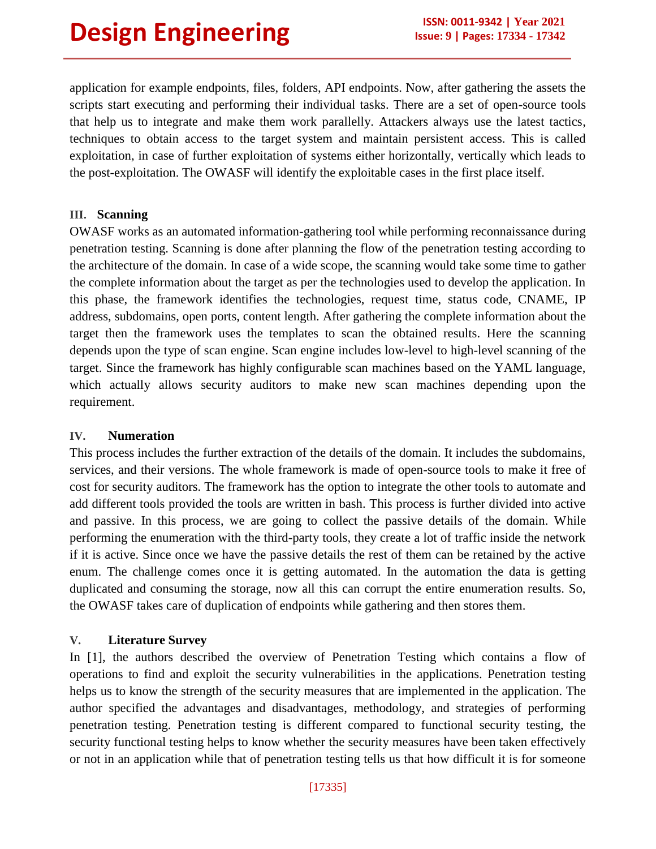application for example endpoints, files, folders, API endpoints. Now, after gathering the assets the scripts start executing and performing their individual tasks. There are a set of open-source tools that help us to integrate and make them work parallelly. Attackers always use the latest tactics, techniques to obtain access to the target system and maintain persistent access. This is called exploitation, in case of further exploitation of systems either horizontally, vertically which leads to the post-exploitation. The OWASF will identify the exploitable cases in the first place itself.

#### **III. Scanning**

OWASF works as an automated information-gathering tool while performing reconnaissance during penetration testing. Scanning is done after planning the flow of the penetration testing according to the architecture of the domain. In case of a wide scope, the scanning would take some time to gather the complete information about the target as per the technologies used to develop the application. In this phase, the framework identifies the technologies, request time, status code, CNAME, IP address, subdomains, open ports, content length. After gathering the complete information about the target then the framework uses the templates to scan the obtained results. Here the scanning depends upon the type of scan engine. Scan engine includes low-level to high-level scanning of the target. Since the framework has highly configurable scan machines based on the YAML language, which actually allows security auditors to make new scan machines depending upon the requirement.

#### **IV. Numeration**

This process includes the further extraction of the details of the domain. It includes the subdomains, services, and their versions. The whole framework is made of open-source tools to make it free of cost for security auditors. The framework has the option to integrate the other tools to automate and add different tools provided the tools are written in bash. This process is further divided into active and passive. In this process, we are going to collect the passive details of the domain. While performing the enumeration with the third-party tools, they create a lot of traffic inside the network if it is active. Since once we have the passive details the rest of them can be retained by the active enum. The challenge comes once it is getting automated. In the automation the data is getting duplicated and consuming the storage, now all this can corrupt the entire enumeration results. So, the OWASF takes care of duplication of endpoints while gathering and then stores them.

## **V. Literature Survey**

In [1], the authors described the overview of Penetration Testing which contains a flow of operations to find and exploit the security vulnerabilities in the applications. Penetration testing helps us to know the strength of the security measures that are implemented in the application. The author specified the advantages and disadvantages, methodology, and strategies of performing penetration testing. Penetration testing is different compared to functional security testing, the security functional testing helps to know whether the security measures have been taken effectively or not in an application while that of penetration testing tells us that how difficult it is for someone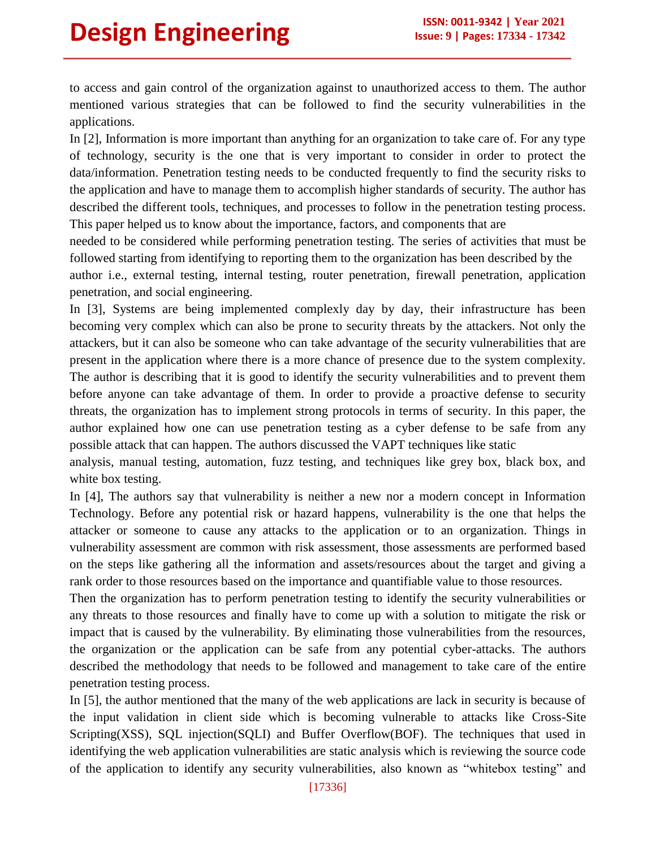to access and gain control of the organization against to unauthorized access to them. The author mentioned various strategies that can be followed to find the security vulnerabilities in the applications.

In [2], Information is more important than anything for an organization to take care of. For any type of technology, security is the one that is very important to consider in order to protect the data/information. Penetration testing needs to be conducted frequently to find the security risks to the application and have to manage them to accomplish higher standards of security. The author has described the different tools, techniques, and processes to follow in the penetration testing process. This paper helped us to know about the importance, factors, and components that are

needed to be considered while performing penetration testing. The series of activities that must be followed starting from identifying to reporting them to the organization has been described by the author i.e., external testing, internal testing, router penetration, firewall penetration, application penetration, and social engineering.

In [3], Systems are being implemented complexly day by day, their infrastructure has been becoming very complex which can also be prone to security threats by the attackers. Not only the attackers, but it can also be someone who can take advantage of the security vulnerabilities that are present in the application where there is a more chance of presence due to the system complexity. The author is describing that it is good to identify the security vulnerabilities and to prevent them before anyone can take advantage of them. In order to provide a proactive defense to security threats, the organization has to implement strong protocols in terms of security. In this paper, the author explained how one can use penetration testing as a cyber defense to be safe from any possible attack that can happen. The authors discussed the VAPT techniques like static

analysis, manual testing, automation, fuzz testing, and techniques like grey box, black box, and white box testing.

In [4], The authors say that vulnerability is neither a new nor a modern concept in Information Technology. Before any potential risk or hazard happens, vulnerability is the one that helps the attacker or someone to cause any attacks to the application or to an organization. Things in vulnerability assessment are common with risk assessment, those assessments are performed based on the steps like gathering all the information and assets/resources about the target and giving a rank order to those resources based on the importance and quantifiable value to those resources.

Then the organization has to perform penetration testing to identify the security vulnerabilities or any threats to those resources and finally have to come up with a solution to mitigate the risk or impact that is caused by the vulnerability. By eliminating those vulnerabilities from the resources, the organization or the application can be safe from any potential cyber-attacks. The authors described the methodology that needs to be followed and management to take care of the entire penetration testing process.

In [5], the author mentioned that the many of the web applications are lack in security is because of the input validation in client side which is becoming vulnerable to attacks like Cross-Site Scripting(XSS), SQL injection(SQLI) and Buffer Overflow(BOF). The techniques that used in identifying the web application vulnerabilities are static analysis which is reviewing the source code of the application to identify any security vulnerabilities, also known as "whitebox testing" and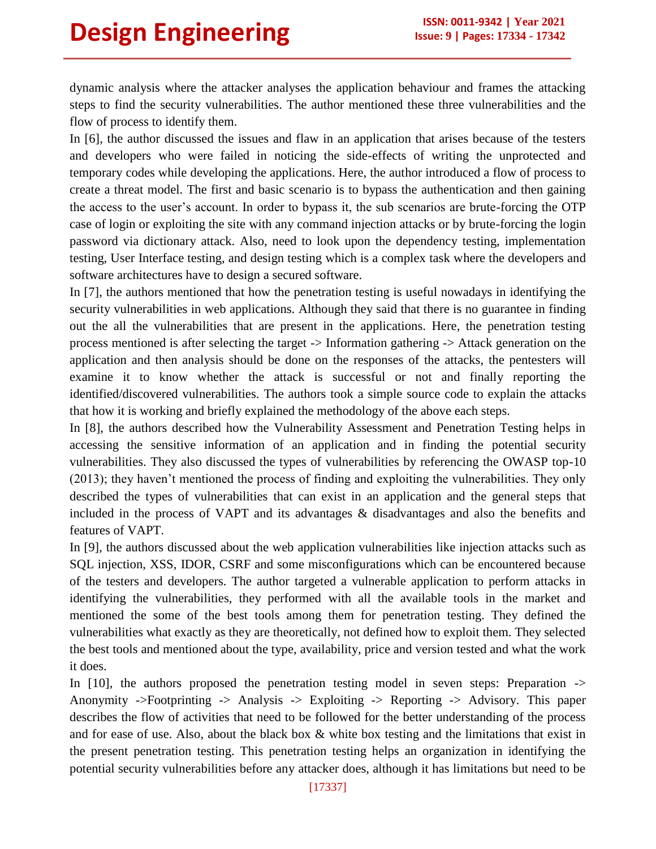dynamic analysis where the attacker analyses the application behaviour and frames the attacking steps to find the security vulnerabilities. The author mentioned these three vulnerabilities and the flow of process to identify them.

In [6], the author discussed the issues and flaw in an application that arises because of the testers and developers who were failed in noticing the side-effects of writing the unprotected and temporary codes while developing the applications. Here, the author introduced a flow of process to create a threat model. The first and basic scenario is to bypass the authentication and then gaining the access to the user"s account. In order to bypass it, the sub scenarios are brute-forcing the OTP case of login or exploiting the site with any command injection attacks or by brute-forcing the login password via dictionary attack. Also, need to look upon the dependency testing, implementation testing, User Interface testing, and design testing which is a complex task where the developers and software architectures have to design a secured software.

In [7], the authors mentioned that how the penetration testing is useful nowadays in identifying the security vulnerabilities in web applications. Although they said that there is no guarantee in finding out the all the vulnerabilities that are present in the applications. Here, the penetration testing process mentioned is after selecting the target -> Information gathering -> Attack generation on the application and then analysis should be done on the responses of the attacks, the pentesters will examine it to know whether the attack is successful or not and finally reporting the identified/discovered vulnerabilities. The authors took a simple source code to explain the attacks that how it is working and briefly explained the methodology of the above each steps.

In [8], the authors described how the Vulnerability Assessment and Penetration Testing helps in accessing the sensitive information of an application and in finding the potential security vulnerabilities. They also discussed the types of vulnerabilities by referencing the OWASP top-10 (2013); they haven"t mentioned the process of finding and exploiting the vulnerabilities. They only described the types of vulnerabilities that can exist in an application and the general steps that included in the process of VAPT and its advantages & disadvantages and also the benefits and features of VAPT.

In [9], the authors discussed about the web application vulnerabilities like injection attacks such as SQL injection, XSS, IDOR, CSRF and some misconfigurations which can be encountered because of the testers and developers. The author targeted a vulnerable application to perform attacks in identifying the vulnerabilities, they performed with all the available tools in the market and mentioned the some of the best tools among them for penetration testing. They defined the vulnerabilities what exactly as they are theoretically, not defined how to exploit them. They selected the best tools and mentioned about the type, availability, price and version tested and what the work it does.

In [10], the authors proposed the penetration testing model in seven steps: Preparation -> Anonymity ->Footprinting -> Analysis -> Exploiting -> Reporting -> Advisory. This paper describes the flow of activities that need to be followed for the better understanding of the process and for ease of use. Also, about the black box & white box testing and the limitations that exist in the present penetration testing. This penetration testing helps an organization in identifying the potential security vulnerabilities before any attacker does, although it has limitations but need to be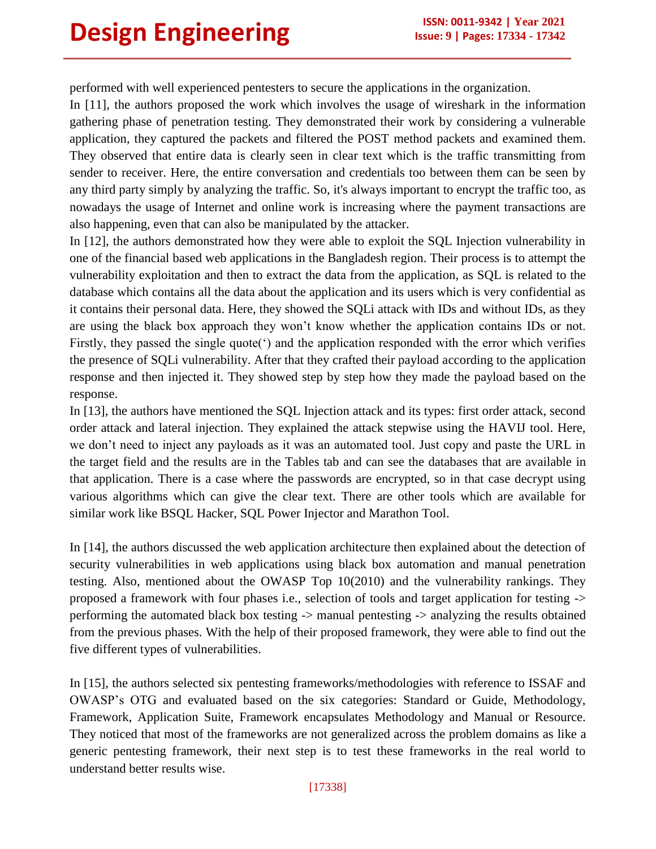performed with well experienced pentesters to secure the applications in the organization.

In [11], the authors proposed the work which involves the usage of wireshark in the information gathering phase of penetration testing. They demonstrated their work by considering a vulnerable application, they captured the packets and filtered the POST method packets and examined them. They observed that entire data is clearly seen in clear text which is the traffic transmitting from sender to receiver. Here, the entire conversation and credentials too between them can be seen by any third party simply by analyzing the traffic. So, it's always important to encrypt the traffic too, as nowadays the usage of Internet and online work is increasing where the payment transactions are also happening, even that can also be manipulated by the attacker.

In [12], the authors demonstrated how they were able to exploit the SQL Injection vulnerability in one of the financial based web applications in the Bangladesh region. Their process is to attempt the vulnerability exploitation and then to extract the data from the application, as SQL is related to the database which contains all the data about the application and its users which is very confidential as it contains their personal data. Here, they showed the SQLi attack with IDs and without IDs, as they are using the black box approach they won"t know whether the application contains IDs or not. Firstly, they passed the single quote(') and the application responded with the error which verifies the presence of SQLi vulnerability. After that they crafted their payload according to the application response and then injected it. They showed step by step how they made the payload based on the response.

In [13], the authors have mentioned the SQL Injection attack and its types: first order attack, second order attack and lateral injection. They explained the attack stepwise using the HAVIJ tool. Here, we don"t need to inject any payloads as it was an automated tool. Just copy and paste the URL in the target field and the results are in the Tables tab and can see the databases that are available in that application. There is a case where the passwords are encrypted, so in that case decrypt using various algorithms which can give the clear text. There are other tools which are available for similar work like BSQL Hacker, SQL Power Injector and Marathon Tool.

In [14], the authors discussed the web application architecture then explained about the detection of security vulnerabilities in web applications using black box automation and manual penetration testing. Also, mentioned about the OWASP Top 10(2010) and the vulnerability rankings. They proposed a framework with four phases i.e., selection of tools and target application for testing -> performing the automated black box testing -> manual pentesting -> analyzing the results obtained from the previous phases. With the help of their proposed framework, they were able to find out the five different types of vulnerabilities.

In [15], the authors selected six pentesting frameworks/methodologies with reference to ISSAF and OWASP"s OTG and evaluated based on the six categories: Standard or Guide, Methodology, Framework, Application Suite, Framework encapsulates Methodology and Manual or Resource. They noticed that most of the frameworks are not generalized across the problem domains as like a generic pentesting framework, their next step is to test these frameworks in the real world to understand better results wise.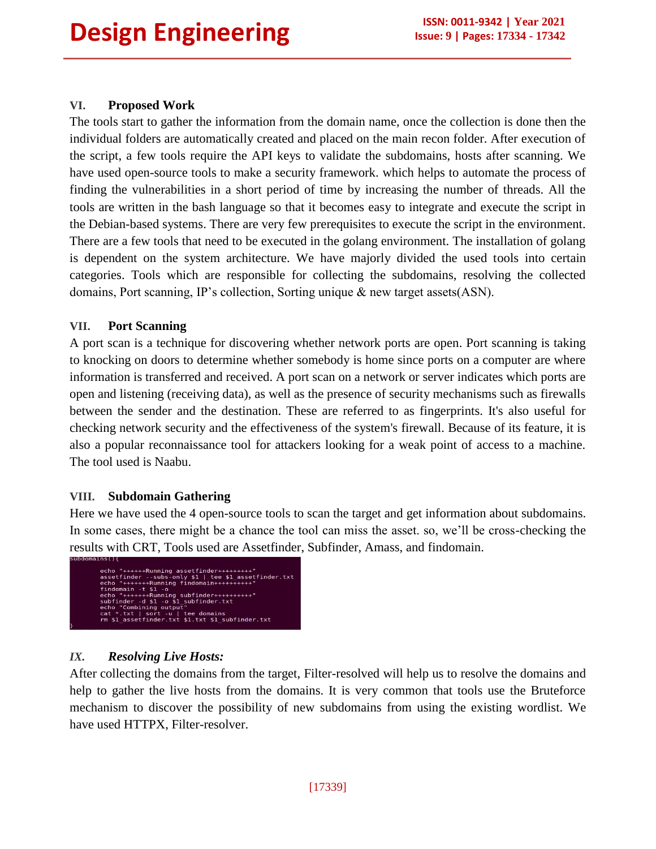## **VI. Proposed Work**

The tools start to gather the information from the domain name, once the collection is done then the individual folders are automatically created and placed on the main recon folder. After execution of the script, a few tools require the API keys to validate the subdomains, hosts after scanning. We have used open-source tools to make a security framework. which helps to automate the process of finding the vulnerabilities in a short period of time by increasing the number of threads. All the tools are written in the bash language so that it becomes easy to integrate and execute the script in the Debian-based systems. There are very few prerequisites to execute the script in the environment. There are a few tools that need to be executed in the golang environment. The installation of golang is dependent on the system architecture. We have majorly divided the used tools into certain categories. Tools which are responsible for collecting the subdomains, resolving the collected domains, Port scanning, IP's collection, Sorting unique & new target assets(ASN).

#### **VII. Port Scanning**

A port scan is a technique for discovering whether network ports are open. Port scanning is taking to knocking on doors to determine whether somebody is home since ports on a computer are where information is transferred and received. A port scan on a network or server indicates which ports are open and listening (receiving data), as well as the presence of security mechanisms such as firewalls between the sender and the destination. These are referred to as fingerprints. It's also useful for checking network security and the effectiveness of the system's firewall. Because of its feature, it is also a popular reconnaissance tool for attackers looking for a weak point of access to a machine. The tool used is Naabu.

#### **VIII. Subdomain Gathering**

Here we have used the 4 open-source tools to scan the target and get information about subdomains. In some cases, there might be a chance the tool can miss the asset. so, we"ll be cross-checking the results with CRT, Tools used are Assetfinder, Subfinder, Amass, and findomain.



## *IX. Resolving Live Hosts:*

After collecting the domains from the target, Filter-resolved will help us to resolve the domains and help to gather the live hosts from the domains. It is very common that tools use the Bruteforce mechanism to discover the possibility of new subdomains from using the existing wordlist. We have used HTTPX, Filter-resolver.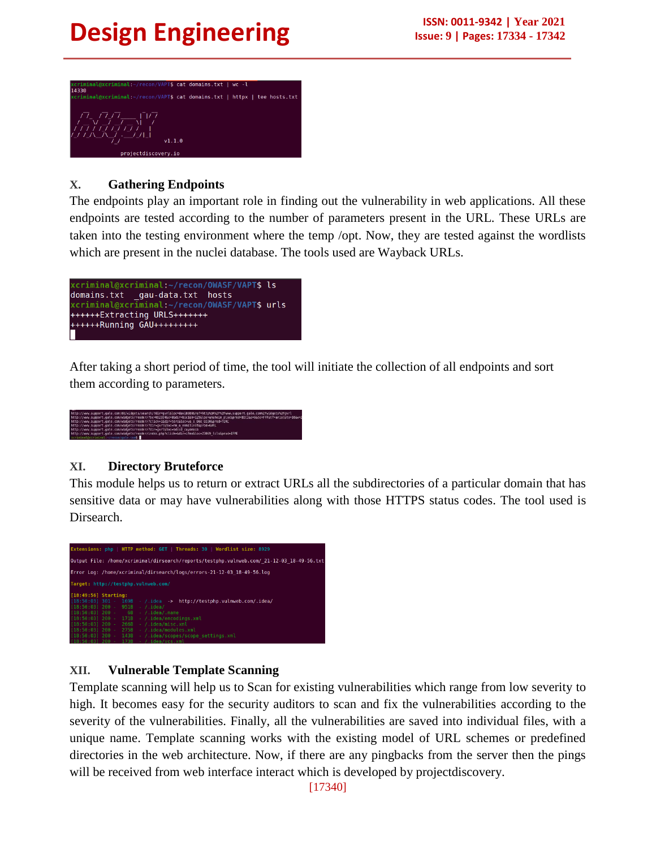

# **X. Gathering Endpoints**

The endpoints play an important role in finding out the vulnerability in web applications. All these endpoints are tested according to the number of parameters present in the URL. These URLs are taken into the testing environment where the temp /opt. Now, they are tested against the wordlists which are present in the nuclei database. The tools used are Wayback URLs.



After taking a short period of time, the tool will initiate the collection of all endpoints and sort them according to parameters.



# **XI. Directory Bruteforce**

This module helps us to return or extract URLs all the subdirectories of a particular domain that has sensitive data or may have vulnerabilities along with those HTTPS status codes. The tool used is Dirsearch.



# **XII. Vulnerable Template Scanning**

Template scanning will help us to Scan for existing vulnerabilities which range from low severity to high. It becomes easy for the security auditors to scan and fix the vulnerabilities according to the severity of the vulnerabilities. Finally, all the vulnerabilities are saved into individual files, with a unique name. Template scanning works with the existing model of URL schemes or predefined directories in the web architecture. Now, if there are any pingbacks from the server then the pings will be received from web interface interact which is developed by projectdiscovery.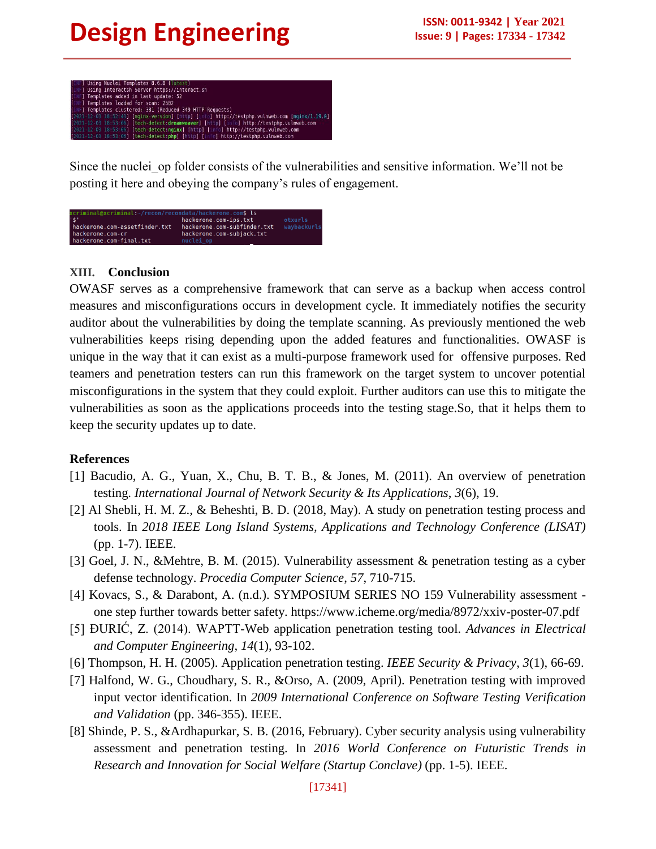

Since the nuclei op folder consists of the vulnerabilities and sensitive information. We'll not be posting it here and obeying the company"s rules of engagement.



## **XIII. Conclusion**

OWASF serves as a comprehensive framework that can serve as a backup when access control measures and misconfigurations occurs in development cycle. It immediately notifies the security auditor about the vulnerabilities by doing the template scanning. As previously mentioned the web vulnerabilities keeps rising depending upon the added features and functionalities. OWASF is unique in the way that it can exist as a multi-purpose framework used for offensive purposes. Red teamers and penetration testers can run this framework on the target system to uncover potential misconfigurations in the system that they could exploit. Further auditors can use this to mitigate the vulnerabilities as soon as the applications proceeds into the testing stage.So, that it helps them to keep the security updates up to date.

## **References**

- [1] Bacudio, A. G., Yuan, X., Chu, B. T. B., & Jones, M. (2011). An overview of penetration testing. *International Journal of Network Security & Its Applications*, *3*(6), 19.
- [2] Al Shebli, H. M. Z., & Beheshti, B. D. (2018, May). A study on penetration testing process and tools. In *2018 IEEE Long Island Systems, Applications and Technology Conference (LISAT)* (pp. 1-7). IEEE.
- [3] Goel, J. N., &Mehtre, B. M. (2015). Vulnerability assessment & penetration testing as a cyber defense technology. *Procedia Computer Science*, *57*, 710-715.
- [4] Kovacs, S., & Darabont, A. (n.d.). SYMPOSIUM SERIES NO 159 Vulnerability assessment one step further towards better safety. https://www.icheme.org/media/8972/xxiv-poster-07.pdf
- [5] ÐURIĆ, Z. (2014). WAPTT-Web application penetration testing tool. *Advances in Electrical and Computer Engineering*, *14*(1), 93-102.
- [6] Thompson, H. H. (2005). Application penetration testing. *IEEE Security & Privacy*, *3*(1), 66-69.
- [7] Halfond, W. G., Choudhary, S. R., &Orso, A. (2009, April). Penetration testing with improved input vector identification. In *2009 International Conference on Software Testing Verification and Validation* (pp. 346-355). IEEE.
- [8] Shinde, P. S., &Ardhapurkar, S. B. (2016, February). Cyber security analysis using vulnerability assessment and penetration testing. In *2016 World Conference on Futuristic Trends in Research and Innovation for Social Welfare (Startup Conclave)* (pp. 1-5). IEEE.